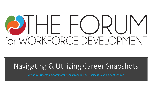## $\lambda$ -( )RU for WORKFORCE DEVELOPMEI

## Navigating & Utilizing Career Snapshots

Anthony Princeton, Coordinator & Austin Anderson, Business Development Officer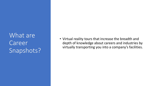What are Career Snapshots?

• Virtual reality tours that increase the breadth and depth of knowledge about careers and industries by virtually transporting you into a company's facilities.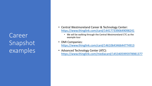Career Snapshot examples

- Central Westmoreland Career & Technology Center: <https://www.thinglink.com/card/1441773390649098241>
	- We will be walking through the Central Westmoreland CTC as the example tour
- DMI Companies: <https://www.thinglink.com/card/1461064346644774913>
- Advanced Technology Center (ATC): <https://www.thinglink.com/mediacard/1453405995978981377>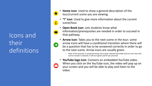Icons and their definitions

- **Home icon**: Used to show a general description of the tour/current scene you are viewing.
- **"i" icon**: Used to give more information about the current scene/tour.
- **Open Book icon**: Lets students know what information/prerequisites are needed in order to succeed in that pathway.
- 

m

- **Arrow icon**: Takes you to the next scene in the tour; some arrow icons will have a conditional transition where there will be a question that has to be answered correctly in order to go to the next scene. Arrow icons are usually green.
	- Note: If the question is answered wrong, the answer selected will shake and turn red. Once the correct answer is selected, it will turn green and let you proceed.
- **YouTube logo icon**: Contains an embedded YouTube video. When you click on the YouTube icon, the video will pop up on your screen and you will be able to play and listen to the video.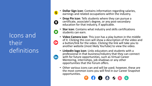Icons and their definitions



**fin** 

- **Dollar Sign icon**: Contains information regarding salaries, earnings and related occupations within the industry.
- **Drop Pin icon**: Tells students where they can pursue a  $\boldsymbol{\Omega}$ certificate, associate's degree, or any post-secondary education for that industry, if applicable.
	- **Star icon**: Contains what industry and skills certifications students can earn.
	- **Video Camera icon**: This icon has a play button in the middle of it. Clicking this icon will show a description of the video and a button/link for the video. Clicking the link will take you to another website (most likely YouTube) to view the video.
	- **LinkedIn logo icon**: Links educators and students with a professional in that business/industry that they can connect with for future opportunities, such as Virtual Career Mentoring, internships, job shadows or any other opportunities that the Forum offers.
	- Other various icons can and will be used; however, these are the most common icons you will find in our Career Snapshot opportunities.

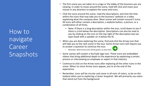How to navigate Career **Snapshots** 

- The first scene you are taken to is a logo or the lobby of the business you are viewing. In order to move around the scene, hold left click and move your mouse in any direction to explore the scene and icons.
- Click the icons around the scene, read the descriptions, and click the links within the icons that may take you to the business' website or a video explaining what the company does. Most scenes will contain around 5 icons. All icons will either contain a description, a website button, a picture, or a combination of all three.
	- Note: If there is a long description within the icon, scroll down to see if there is a link below the description. Descriptions can also be read to you by clicking on the icon on the top right of the description box (an open book with a speaker on it below the X).
- When you are done exploring the scene, find and click the Arrow icon that will take you to the next scene in the tour. Some Arrow icons will require you to answer a question to continue the tour.
	- Reminder: Most Arrow icons will be green, as seen here.
- Some scenes will contain a YouTube logo icon. These icons are embedded videos that bring additional depth to the experience by explaining a certain process or interviewing an employee or expert in that industry.
- Continue to click on the Arrow icons after exploring all the other icons in the scene. When no more Arrow icons appear, you're at the end of the experience.
- Remember, icons will be circular and come in all sorts of colors, so be on the lookout when you're exploring a Career Snapshot. We will primarily use colors that stand out from the background.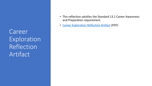Career **Exploration** Reflection Artifact

- This reflection satisfies the Standard 13.1 Career Awareness and Preparation requirement.
- [Career Exploration Reflection Artifact](https://drive.google.com/file/d/1ewucUQlR9t8K5fU46mWGqbVDV8PKz7nR/view) (PDF)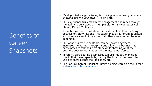Benefits of Career **Snapshots** 

- *"Seeing is believing, believing is knowing, and knowing beats not knowing and the unknown."* – Philip Roth
- This experience truly maximizes engagement and reach through the ability to be viewed on multiple platforms – computer, cell phone, TV or a VR headset.
- Some businesses do not allow minor students in their buildings because of safety reasons. This experience gives Forum educators & students access to industries that otherwise wouldn't be seen in person.
- This opportunity is repeatable, can be shown anywhere, increases the business' footprint and allows the business that participates to tell their own story while showing what their business does for our students  $-$  the future workforce.
- In return, participating businesses can use this as a marketing tool in their own capacity by placing the tour on their website, using to show clients their facilities, etc.
- The Forum's Career Snapshot library is being stored on the Career Hub [\(careerhubconnect.com](https://careerhubconnect.com/)).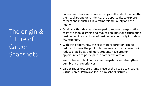The origin & future of Career **Snapshots** 

- Career Snapshots were created to give all students, no matter their background or residence, the opportunity to explore careers and industries in Westmoreland County and the region.
- Originally, this idea was developed to reduce transportation costs of school districts and reduce liabilities for participating businesses. Physical tours of businesses could only include a few students.
- With this opportunity, the cost of transportation can be reduced to zero, the pool of businesses can be increased with reduced liabilities, and more students have greater opportunities to participate in career exploration.
- We continue to build out Career Snapshots and strengthen our library of experiences.
- Career Snapshots are a large piece of the puzzle to creating Virtual Career Pathways for Forum school districts.